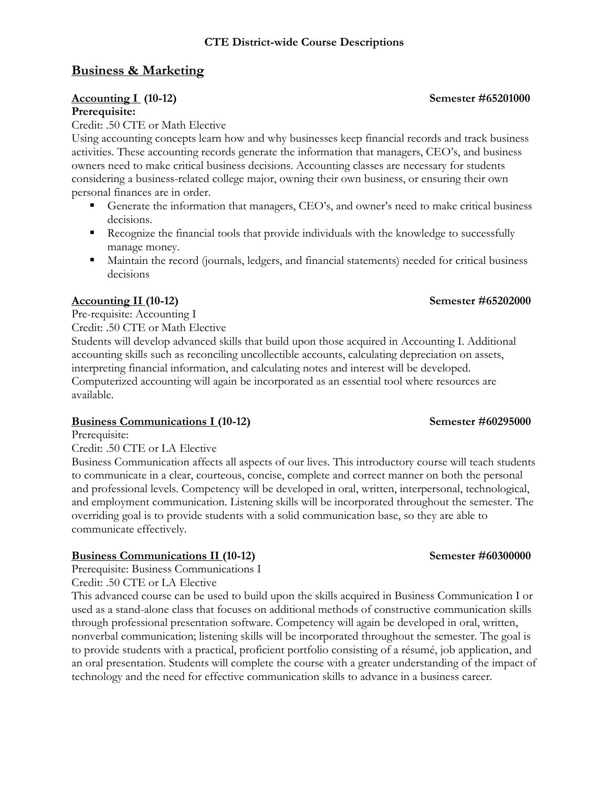### **CTE District-wide Course Descriptions**

### **Business & Marketing**

### **Accounting I (10-12) Semester #65201000**

### **Prerequisite:**

Credit: .50 CTE or Math Elective

Using accounting concepts learn how and why businesses keep financial records and track business activities. These accounting records generate the information that managers, CEO's, and business owners need to make critical business decisions. Accounting classes are necessary for students considering a business-related college major, owning their own business, or ensuring their own personal finances are in order.

- Generate the information that managers, CEO's, and owner's need to make critical business decisions.
- Recognize the financial tools that provide individuals with the knowledge to successfully manage money.
- Maintain the record (journals, ledgers, and financial statements) needed for critical business decisions

### **Accounting II (10-12) Semester #65202000**

Pre-requisite: Accounting I Credit: .50 CTE or Math Elective

Students will develop advanced skills that build upon those acquired in Accounting I. Additional accounting skills such as reconciling uncollectible accounts, calculating depreciation on assets, interpreting financial information, and calculating notes and interest will be developed. Computerized accounting will again be incorporated as an essential tool where resources are available.

### **Business Communications I** (10-12) **Semester #60295000**

Prerequisite:

Credit: .50 CTE or LA Elective

Business Communication affects all aspects of our lives. This introductory course will teach students to communicate in a clear, courteous, concise, complete and correct manner on both the personal and professional levels. Competency will be developed in oral, written, interpersonal, technological, and employment communication. Listening skills will be incorporated throughout the semester. The overriding goal is to provide students with a solid communication base, so they are able to communicate effectively.

### **Business Communications II (10-12) Semester #60300000**

Prerequisite: Business Communications I

Credit: .50 CTE or LA Elective

This advanced course can be used to build upon the skills acquired in Business Communication I or used as a stand-alone class that focuses on additional methods of constructive communication skills through professional presentation software. Competency will again be developed in oral, written, nonverbal communication; listening skills will be incorporated throughout the semester. The goal is to provide students with a practical, proficient portfolio consisting of a résumé, job application, and an oral presentation. Students will complete the course with a greater understanding of the impact of technology and the need for effective communication skills to advance in a business career.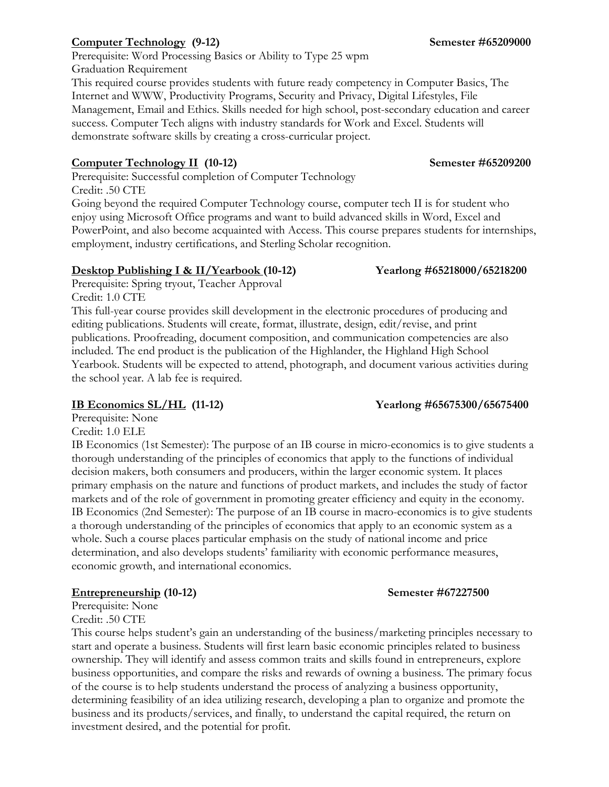# **Computer Technology** (9-12) **Semester #65209000**

Prerequisite: Word Processing Basics or Ability to Type 25 wpm Graduation Requirement This required course provides students with future ready competency in Computer Basics, The Internet and WWW, Productivity Programs, Security and Privacy, Digital Lifestyles, File Management, Email and Ethics. Skills needed for high school, post-secondary education and career success. Computer Tech aligns with industry standards for Work and Excel. Students will demonstrate software skills by creating a cross-curricular project.

### **Computer Technology II (10-12) Semester #65209200**

Prerequisite: Successful completion of Computer Technology Credit: .50 CTE

Going beyond the required Computer Technology course, computer tech II is for student who enjoy using Microsoft Office programs and want to build advanced skills in Word, Excel and PowerPoint, and also become acquainted with Access. This course prepares students for internships, employment, industry certifications, and Sterling Scholar recognition.

### **Desktop Publishing I & II/Yearbook (10-12) Yearlong #65218000/65218200**

Prerequisite: Spring tryout, Teacher Approval Credit: 1.0 CTE

This full-year course provides skill development in the electronic procedures of producing and editing publications. Students will create, format, illustrate, design, edit/revise, and print publications. Proofreading, document composition, and communication competencies are also included. The end product is the publication of the Highlander, the Highland High School Yearbook. Students will be expected to attend, photograph, and document various activities during the school year. A lab fee is required.

Prerequisite: None

Credit: 1.0 ELE

IB Economics (1st Semester): The purpose of an IB course in micro-economics is to give students a thorough understanding of the principles of economics that apply to the functions of individual decision makers, both consumers and producers, within the larger economic system. It places primary emphasis on the nature and functions of product markets, and includes the study of factor markets and of the role of government in promoting greater efficiency and equity in the economy. IB Economics (2nd Semester): The purpose of an IB course in macro-economics is to give students a thorough understanding of the principles of economics that apply to an economic system as a whole. Such a course places particular emphasis on the study of national income and price determination, and also develops students' familiarity with economic performance measures, economic growth, and international economics.

### **Entrepreneurship (10-12) Semester #67227500**

Prerequisite: None Credit: .50 CTE

This course helps student's gain an understanding of the business/marketing principles necessary to start and operate a business. Students will first learn basic economic principles related to business ownership. They will identify and assess common traits and skills found in entrepreneurs, explore business opportunities, and compare the risks and rewards of owning a business. The primary focus of the course is to help students understand the process of analyzing a business opportunity, determining feasibility of an idea utilizing research, developing a plan to organize and promote the business and its products/services, and finally, to understand the capital required, the return on investment desired, and the potential for profit.

### **IB Economics SL/HL (11-12) Yearlong #65675300/65675400**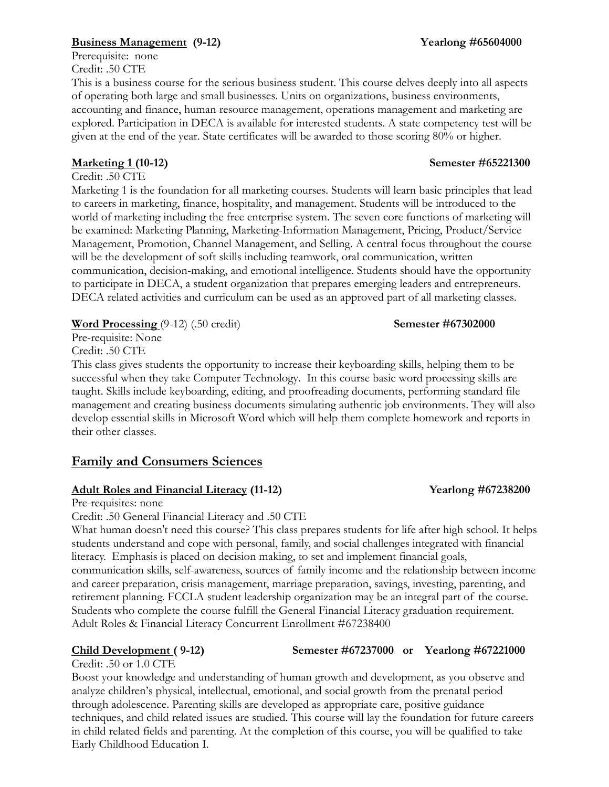### **Business Management (9-12) Yearlong #65604000**

Prerequisite: none Credit: .50 CTE

This is a business course for the serious business student. This course delves deeply into all aspects of operating both large and small businesses. Units on organizations, business environments, accounting and finance, human resource management, operations management and marketing are explored. Participation in DECA is available for interested students. A state competency test will be given at the end of the year. State certificates will be awarded to those scoring 80% or higher.

Credit: .50 CTE

Marketing 1 is the foundation for all marketing courses. Students will learn basic principles that lead to careers in marketing, finance, hospitality, and management. Students will be introduced to the world of marketing including the free enterprise system. The seven core functions of marketing will be examined: Marketing Planning, Marketing-Information Management, Pricing, Product/Service Management, Promotion, Channel Management, and Selling. A central focus throughout the course will be the development of soft skills including teamwork, oral communication, written communication, decision-making, and emotional intelligence. Students should have the opportunity to participate in DECA, a student organization that prepares emerging leaders and entrepreneurs. DECA related activities and curriculum can be used as an approved part of all marketing classes.

**Word Processing** (9-12) (.50 credit) **Semester #67302000** 

Pre-requisite: None Credit: .50 CTE

This class gives students the opportunity to increase their keyboarding skills, helping them to be successful when they take Computer Technology. In this course basic word processing skills are taught. Skills include keyboarding, editing, and proofreading documents, performing standard file management and creating business documents simulating authentic job environments. They will also develop essential skills in Microsoft Word which will help them complete homework and reports in their other classes.

# **Family and Consumers Sciences**

### **Adult Roles and Financial Literacy (11-12) Yearlong #67238200**

Pre-requisites: none

Credit: .50 General Financial Literacy and .50 CTE

What human doesn't need this course? This class prepares students for life after high school. It helps students understand and cope with personal, family, and social challenges integrated with financial literacy. Emphasis is placed on decision making, to set and implement financial goals, communication skills, self-awareness, sources of family income and the relationship between income and career preparation, crisis management, marriage preparation, savings, investing, parenting, and retirement planning. FCCLA student leadership organization may be an integral part of the course. Students who complete the course fulfill the General Financial Literacy graduation requirement. Adult Roles & Financial Literacy Concurrent Enrollment #67238400

### **Child Development ( 9-12) Semester #67237000 or Yearlong #67221000**

Credit: .50 or 1.0 CTE Boost your knowledge and understanding of human growth and development, as you observe and analyze children's physical, intellectual, emotional, and social growth from the prenatal period through adolescence. Parenting skills are developed as appropriate care, positive guidance techniques, and child related issues are studied. This course will lay the foundation for future careers in child related fields and parenting. At the completion of this course, you will be qualified to take Early Childhood Education I.

### **Marketing 1 (10-12) Semester #65221300**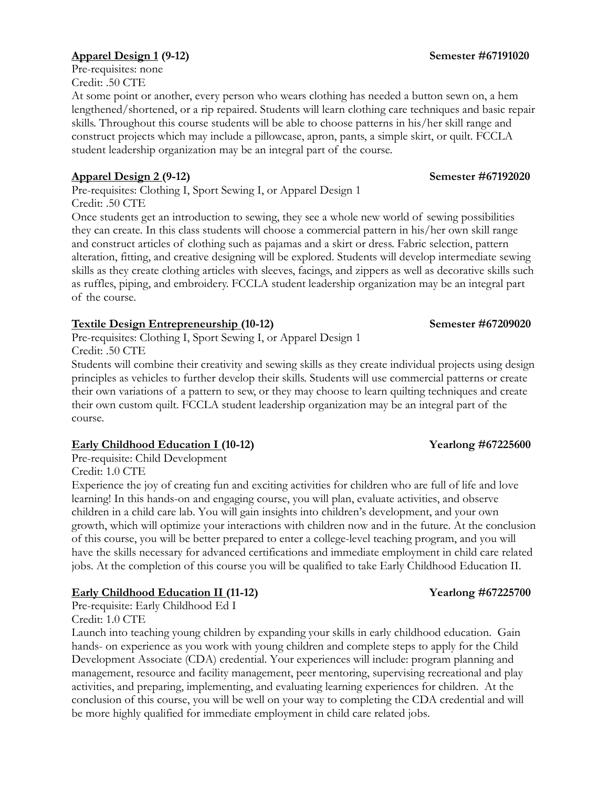### **Apparel Design 1 (9-12) Semester #67191020**

Pre-requisites: none Credit: .50 CTE

At some point or another, every person who wears clothing has needed a button sewn on, a hem lengthened/shortened, or a rip repaired. Students will learn clothing care techniques and basic repair skills. Throughout this course students will be able to choose patterns in his/her skill range and construct projects which may include a pillowcase, apron, pants, a simple skirt, or quilt. FCCLA student leadership organization may be an integral part of the course.

### **Apparel Design 2 (9-12) Semester #67192020**

Pre-requisites: Clothing I, Sport Sewing I, or Apparel Design 1 Credit: .50 CTE

Once students get an introduction to sewing, they see a whole new world of sewing possibilities they can create. In this class students will choose a commercial pattern in his/her own skill range and construct articles of clothing such as pajamas and a skirt or dress. Fabric selection, pattern alteration, fitting, and creative designing will be explored. Students will develop intermediate sewing skills as they create clothing articles with sleeves, facings, and zippers as well as decorative skills such as ruffles, piping, and embroidery. FCCLA student leadership organization may be an integral part of the course.

### **Textile Design Entrepreneurship (10-12) Semester #67209020**

Pre-requisites: Clothing I, Sport Sewing I, or Apparel Design 1 Credit: .50 CTE

Students will combine their creativity and sewing skills as they create individual projects using design principles as vehicles to further develop their skills. Students will use commercial patterns or create their own variations of a pattern to sew, or they may choose to learn quilting techniques and create their own custom quilt. FCCLA student leadership organization may be an integral part of the course.

### **Early Childhood Education I (10-12) Yearlong #67225600**

Pre-requisite: Child Development

Credit: 1.0 CTE

Experience the joy of creating fun and exciting activities for children who are full of life and love learning! In this hands-on and engaging course, you will plan, evaluate activities, and observe children in a child care lab. You will gain insights into children's development, and your own growth, which will optimize your interactions with children now and in the future. At the conclusion of this course, you will be better prepared to enter a college-level teaching program, and you will have the skills necessary for advanced certifications and immediate employment in child care related jobs. At the completion of this course you will be qualified to take Early Childhood Education II.

### **Early Childhood Education II (11-12) Yearlong #67225700**

Pre-requisite: Early Childhood Ed I

Credit: 1.0 CTE

Launch into teaching young children by expanding your skills in early childhood education. Gain hands- on experience as you work with young children and complete steps to apply for the Child Development Associate (CDA) credential. Your experiences will include: program planning and management, resource and facility management, peer mentoring, supervising recreational and play activities, and preparing, implementing, and evaluating learning experiences for children. At the conclusion of this course, you will be well on your way to completing the CDA credential and will be more highly qualified for immediate employment in child care related jobs.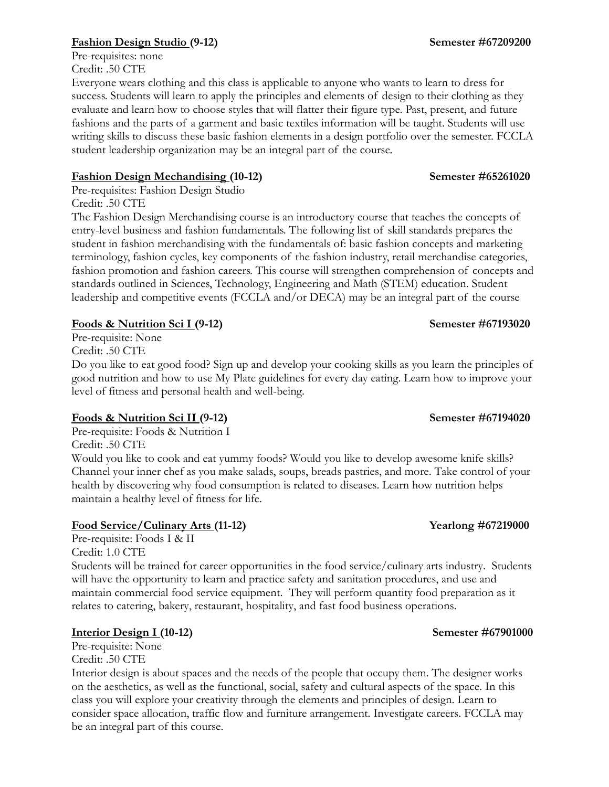### **Fashion Design Studio (9-12) Semester #67209200**

Pre-requisites: none Credit: .50 CTE

Everyone wears clothing and this class is applicable to anyone who wants to learn to dress for success. Students will learn to apply the principles and elements of design to their clothing as they evaluate and learn how to choose styles that will flatter their figure type. Past, present, and future fashions and the parts of a garment and basic textiles information will be taught. Students will use writing skills to discuss these basic fashion elements in a design portfolio over the semester. FCCLA student leadership organization may be an integral part of the course.

### **Fashion Design Mechandising (10-12) Semester #65261020**

Pre-requisites: Fashion Design Studio Credit: .50 CTE

The Fashion Design Merchandising course is an introductory course that teaches the concepts of entry-level business and fashion fundamentals. The following list of skill standards prepares the student in fashion merchandising with the fundamentals of: basic fashion concepts and marketing terminology, fashion cycles, key components of the fashion industry, retail merchandise categories, fashion promotion and fashion careers. This course will strengthen comprehension of concepts and standards outlined in Sciences, Technology, Engineering and Math (STEM) education. Student leadership and competitive events (FCCLA and/or DECA) may be an integral part of the course

### **Foods & Nutrition Sci I (9-12) Semester #67193020**

Pre-requisite: None Credit: .50 CTE

Do you like to eat good food? Sign up and develop your cooking skills as you learn the principles of good nutrition and how to use My Plate guidelines for every day eating. Learn how to improve your level of fitness and personal health and well-being.

### **Foods & Nutrition Sci II (9-12) Semester #67194020**

Pre-requisite: Foods & Nutrition I

Credit: .50 CTE

Would you like to cook and eat yummy foods? Would you like to develop awesome knife skills? Channel your inner chef as you make salads, soups, breads pastries, and more. Take control of your health by discovering why food consumption is related to diseases. Learn how nutrition helps maintain a healthy level of fitness for life.

### **Food Service/Culinary Arts (11-12) Yearlong #67219000**

Pre-requisite: Foods I & II Credit: 1.0 CTE

Students will be trained for career opportunities in the food service/culinary arts industry. Students will have the opportunity to learn and practice safety and sanitation procedures, and use and maintain commercial food service equipment. They will perform quantity food preparation as it relates to catering, bakery, restaurant, hospitality, and fast food business operations.

### **Interior Design I (10-12) Semester #67901000**

Pre-requisite: None Credit: .50 CTE

Interior design is about spaces and the needs of the people that occupy them. The designer works on the aesthetics, as well as the functional, social, safety and cultural aspects of the space. In this class you will explore your creativity through the elements and principles of design. Learn to consider space allocation, traffic flow and furniture arrangement. Investigate careers. FCCLA may be an integral part of this course.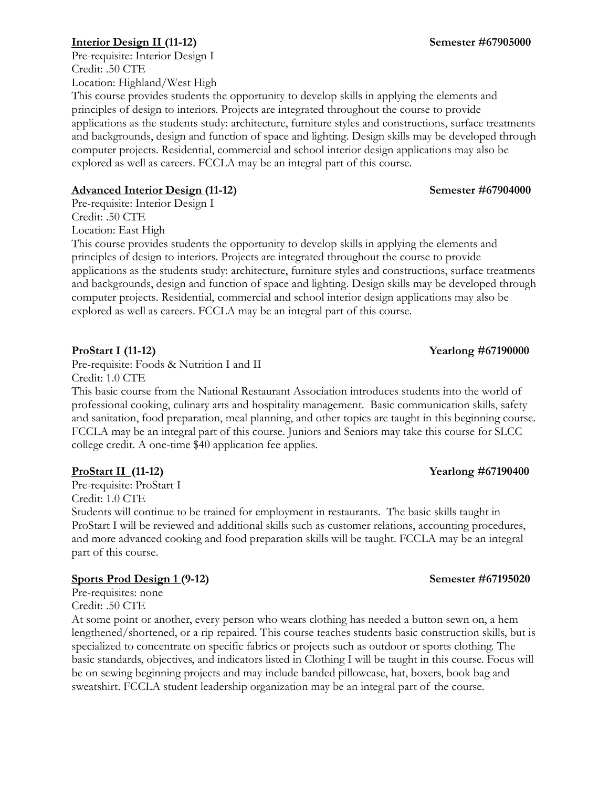### **Interior Design II (11-12) Semester #67905000**

Pre-requisite: Interior Design I Credit: .50 CTE Location: Highland/West High

This course provides students the opportunity to develop skills in applying the elements and principles of design to interiors. Projects are integrated throughout the course to provide applications as the students study: architecture, furniture styles and constructions, surface treatments and backgrounds, design and function of space and lighting. Design skills may be developed through computer projects. Residential, commercial and school interior design applications may also be explored as well as careers. FCCLA may be an integral part of this course.

### **Advanced Interior Design (11-12) Semester #67904000**

Pre-requisite: Interior Design I Credit: .50 CTE Location: East High

This course provides students the opportunity to develop skills in applying the elements and principles of design to interiors. Projects are integrated throughout the course to provide applications as the students study: architecture, furniture styles and constructions, surface treatments and backgrounds, design and function of space and lighting. Design skills may be developed through computer projects. Residential, commercial and school interior design applications may also be explored as well as careers. FCCLA may be an integral part of this course.

Pre-requisite: Foods & Nutrition I and II Credit: 1.0 CTE

This basic course from the National Restaurant Association introduces students into the world of professional cooking, culinary arts and hospitality management. Basic communication skills, safety and sanitation, food preparation, meal planning, and other topics are taught in this beginning course. FCCLA may be an integral part of this course. Juniors and Seniors may take this course for SLCC college credit. A one-time \$40 application fee applies.

### **ProStart II (11-12) Yearlong #67190400**

Pre-requisite: ProStart I Credit: 1.0 CTE

Students will continue to be trained for employment in restaurants. The basic skills taught in ProStart I will be reviewed and additional skills such as customer relations, accounting procedures, and more advanced cooking and food preparation skills will be taught. FCCLA may be an integral part of this course.

### **Sports Prod Design 1 (9-12) Semester #67195020**

Pre-requisites: none Credit: .50 CTE

At some point or another, every person who wears clothing has needed a button sewn on, a hem lengthened/shortened, or a rip repaired. This course teaches students basic construction skills, but is specialized to concentrate on specific fabrics or projects such as outdoor or sports clothing. The basic standards, objectives, and indicators listed in Clothing I will be taught in this course. Focus will be on sewing beginning projects and may include banded pillowcase, hat, boxers, book bag and sweatshirt. FCCLA student leadership organization may be an integral part of the course.

# **ProStart I (11-12)** Yearlong #67190000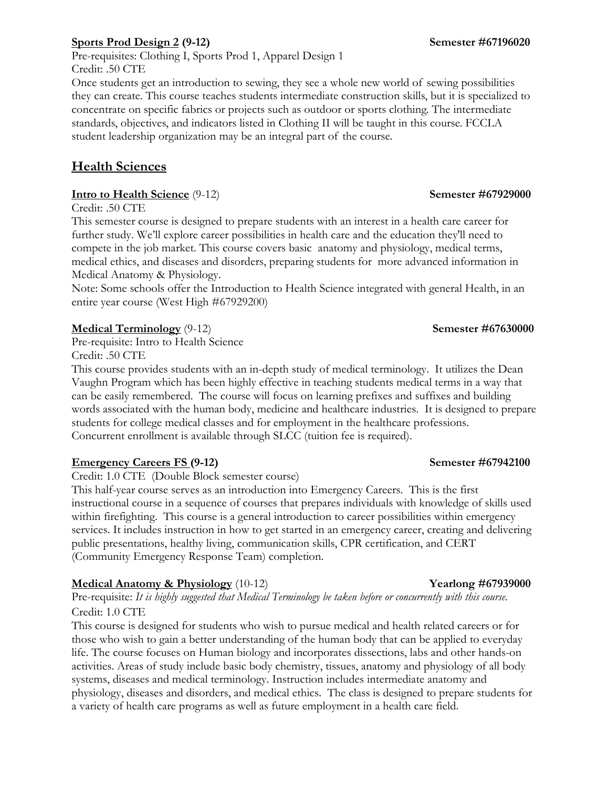### **Sports Prod Design 2 (9-12) Semester #67196020**

Pre-requisites: Clothing I, Sports Prod 1, Apparel Design 1 Credit: .50 CTE

Once students get an introduction to sewing, they see a whole new world of sewing possibilities they can create. This course teaches students intermediate construction skills, but it is specialized to concentrate on specific fabrics or projects such as outdoor or sports clothing. The intermediate standards, objectives, and indicators listed in Clothing II will be taught in this course. FCCLA student leadership organization may be an integral part of the course.

# **Health Sciences**

### **Intro to Health Science** (9-12) **Semester #67929000**

Credit: .50 CTE

This semester course is designed to prepare students with an interest in a health care career for further study. We'll explore career possibilities in health care and the education they'll need to compete in the job market. This course covers basic anatomy and physiology, medical terms, medical ethics, and diseases and disorders, preparing students for more advanced information in Medical Anatomy & Physiology.

Note: Some schools offer the Introduction to Health Science integrated with general Health, in an entire year course (West High #67929200)

### **Medical Terminology** (9-12) **Semester #67630000**

Pre-requisite: Intro to Health Science Credit: .50 CTE

This course provides students with an in-depth study of medical terminology. It utilizes the Dean Vaughn Program which has been highly effective in teaching students medical terms in a way that can be easily remembered. The course will focus on learning prefixes and suffixes and building words associated with the human body, medicine and healthcare industries. It is designed to prepare students for college medical classes and for employment in the healthcare professions. Concurrent enrollment is available through SLCC (tuition fee is required).

### **Emergency Careers FS (9-12) Semester #67942100**

Credit: 1.0 CTE (Double Block semester course)

This half-year course serves as an introduction into Emergency Careers. This is the first instructional course in a sequence of courses that prepares individuals with knowledge of skills used within firefighting. This course is a general introduction to career possibilities within emergency services. It includes instruction in how to get started in an emergency career, creating and delivering public presentations, healthy living, communication skills, CPR certification, and CERT (Community Emergency Response Team) completion.

### **Medical Anatomy & Physiology** (10-12) **Yearlong #67939000**

Pre-requisite: *It is highly suggested that Medical Terminology be taken before or concurrently with this course.* Credit: 1.0 CTE

This course is designed for students who wish to pursue medical and health related careers or for those who wish to gain a better understanding of the human body that can be applied to everyday life. The course focuses on Human biology and incorporates dissections, labs and other hands-on activities. Areas of study include basic body chemistry, tissues, anatomy and physiology of all body systems, diseases and medical terminology. Instruction includes intermediate anatomy and physiology, diseases and disorders, and medical ethics. The class is designed to prepare students for a variety of health care programs as well as future employment in a health care field.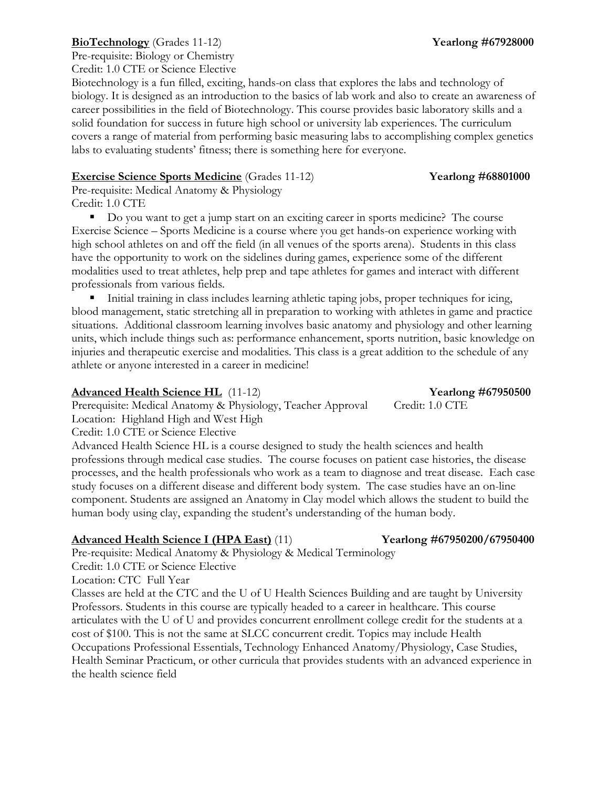### **BioTechnology** (Grades 11-12) **Yearlong #67928000**

Pre-requisite: Biology or Chemistry Credit: 1.0 CTE or Science Elective

Biotechnology is a fun filled, exciting, hands-on class that explores the labs and technology of biology. It is designed as an introduction to the basics of lab work and also to create an awareness of career possibilities in the field of Biotechnology. This course provides basic laboratory skills and a solid foundation for success in future high school or university lab experiences. The curriculum covers a range of material from performing basic measuring labs to accomplishing complex genetics labs to evaluating students' fitness; there is something here for everyone.

### **Exercise Science Sports Medicine** (Grades 11-12) **Yearlong #68801000**

Pre-requisite: Medical Anatomy & Physiology Credit: 1.0 CTE

Do you want to get a jump start on an exciting career in sports medicine? The course Exercise Science – Sports Medicine is a course where you get hands-on experience working with high school athletes on and off the field (in all venues of the sports arena). Students in this class have the opportunity to work on the sidelines during games, experience some of the different modalities used to treat athletes, help prep and tape athletes for games and interact with different professionals from various fields.

 Initial training in class includes learning athletic taping jobs, proper techniques for icing, blood management, static stretching all in preparation to working with athletes in game and practice situations. Additional classroom learning involves basic anatomy and physiology and other learning units, which include things such as: performance enhancement, sports nutrition, basic knowledge on injuries and therapeutic exercise and modalities. This class is a great addition to the schedule of any athlete or anyone interested in a career in medicine!

### **Advanced Health Science HL** (11-12) **Yearlong #67950500**

Prerequisite: Medical Anatomy & Physiology, Teacher Approval Credit: 1.0 CTE Location: Highland High and West High

Credit: 1.0 CTE or Science Elective

Advanced Health Science HL is a course designed to study the health sciences and health professions through medical case studies. The course focuses on patient case histories, the disease processes, and the health professionals who work as a team to diagnose and treat disease. Each case study focuses on a different disease and different body system. The case studies have an on-line component. Students are assigned an Anatomy in Clay model which allows the student to build the human body using clay, expanding the student's understanding of the human body.

### **Advanced Health Science I (HPA East)** (11) **Yearlong #67950200/67950400**

Pre-requisite: Medical Anatomy & Physiology & Medical Terminology

Credit: 1.0 CTE or Science Elective

Location: CTC Full Year

Classes are held at the CTC and the U of U Health Sciences Building and are taught by University Professors. Students in this course are typically headed to a career in healthcare. This course articulates with the U of U and provides concurrent enrollment college credit for the students at a cost of \$100. This is not the same at SLCC concurrent credit. Topics may include Health Occupations Professional Essentials, Technology Enhanced Anatomy/Physiology, Case Studies, Health Seminar Practicum, or other curricula that provides students with an advanced experience in the health science field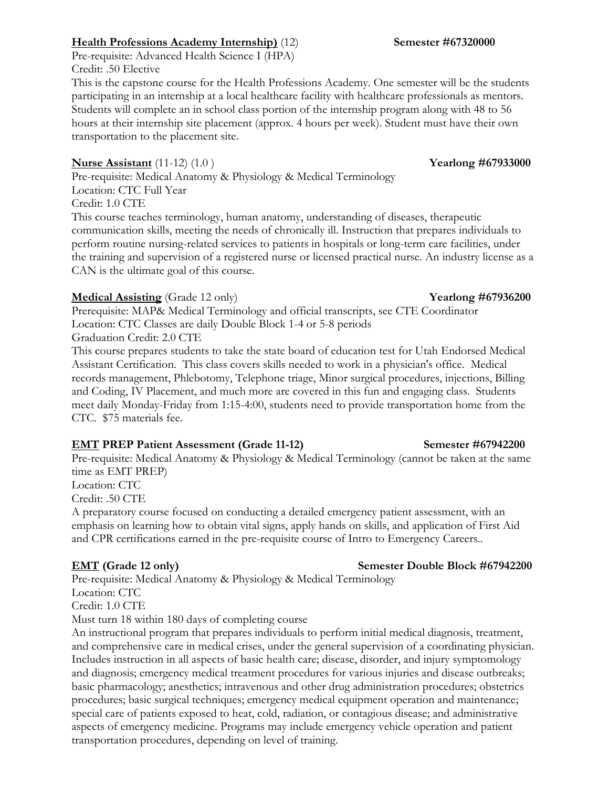Pre-requisite: Advanced Health Science I (HPA) Credit: .50 Elective

This is the capstone course for the Health Professions Academy. One semester will be the students participating in an internship at a local healthcare facility with healthcare professionals as mentors. Students will complete an in school class portion of the internship program along with 48 to 56 hours at their internship site placement (approx. 4 hours per week). Student must have their own transportation to the placement site.

# **Nurse Assistant** (11-12) (1.0) **Yearlong #67933000**

Pre-requisite: Medical Anatomy & Physiology & Medical Terminology Location: CTC Full Year Credit: 1.0 CTE

This course teaches terminology, human anatomy, understanding of diseases, therapeutic communication skills, meeting the needs of chronically ill. Instruction that prepares individuals to perform routine nursing-related services to patients in hospitals or long-term care facilities, under the training and supervision of a registered nurse or licensed practical nurse. An industry license as a CAN is the ultimate goal of this course.

# **Medical Assisting** (Grade 12 only) **Yearlong** #67936200

Prerequisite: MAP& Medical Terminology and official transcripts, see CTE Coordinator Location: CTC Classes are daily Double Block 1-4 or 5-8 periods Graduation Credit: 2.0 CTE

This course prepares students to take the state board of education test for Utah Endorsed Medical Assistant Certification. This class covers skills needed to work in a physician's office. Medical records management, Phlebotomy, Telephone triage, Minor surgical procedures, injections, Billing and Coding, IV Placement, and much more are covered in this fun and engaging class. Students meet daily Monday-Friday from 1:15-4:00, students need to provide transportation home from the CTC. \$75 materials fee.

# **EMT PREP Patient Assessment (Grade 11-12) Semester #67942200**

Pre-requisite: Medical Anatomy & Physiology & Medical Terminology (cannot be taken at the same time as EMT PREP)

Location: CTC

Credit: .50 CTE

A preparatory course focused on conducting a detailed emergency patient assessment, with an emphasis on learning how to obtain vital signs, apply hands on skills, and application of First Aid and CPR certifications earned in the pre-requisite course of Intro to Emergency Careers..

Pre-requisite: Medical Anatomy & Physiology & Medical Terminology

Location: CTC Credit: 1.0 CTE

Must turn 18 within 180 days of completing course

An instructional program that prepares individuals to perform initial medical diagnosis, treatment, and comprehensive care in medical crises, under the general supervision of a coordinating physician. Includes instruction in all aspects of basic health care; disease, disorder, and injury symptomology and diagnosis; emergency medical treatment procedures for various injuries and disease outbreaks; basic pharmacology; anesthetics; intravenous and other drug administration procedures; obstetrics procedures; basic surgical techniques; emergency medical equipment operation and maintenance; special care of patients exposed to heat, cold, radiation, or contagious disease; and administrative aspects of emergency medicine. Programs may include emergency vehicle operation and patient transportation procedures, depending on level of training.

# **EMT (Grade 12 only) Semester Double Block #67942200**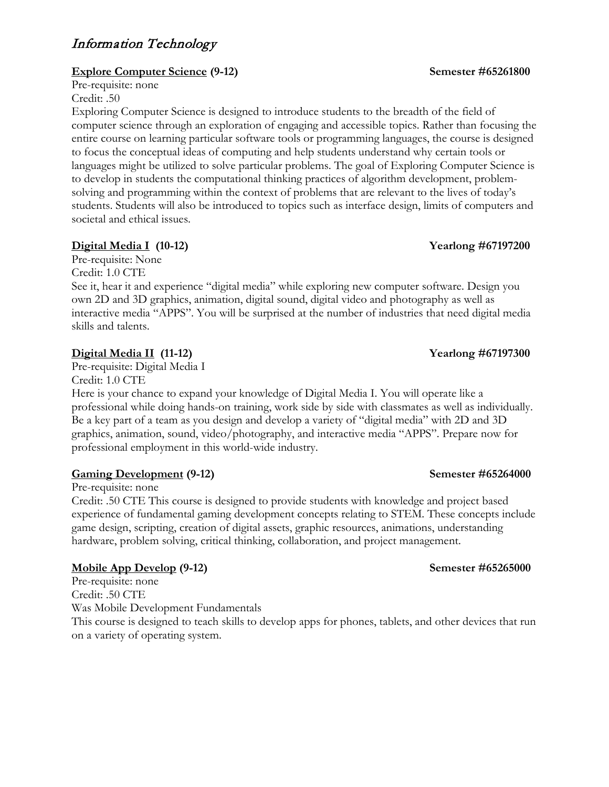# Information Technology

### **Explore Computer Science (9-12)** Semester #65261800

Pre-requisite: none Credit: .50

Exploring Computer Science is designed to introduce students to the breadth of the field of computer science through an exploration of engaging and accessible topics. Rather than focusing the entire course on learning particular software tools or programming languages, the course is designed to focus the conceptual ideas of computing and help students understand why certain tools or languages might be utilized to solve particular problems. The goal of Exploring Computer Science is to develop in students the computational thinking practices of algorithm development, problemsolving and programming within the context of problems that are relevant to the lives of today's students. Students will also be introduced to topics such as interface design, limits of computers and societal and ethical issues.

### **Digital Media I (10-12) Yearlong #67197200**

Pre-requisite: None Credit: 1.0 CTE

See it, hear it and experience "digital media" while exploring new computer software. Design you own 2D and 3D graphics, animation, digital sound, digital video and photography as well as interactive media "APPS". You will be surprised at the number of industries that need digital media skills and talents.

### **Digital Media II (11-12) Yearlong #67197300**

Pre-requisite: Digital Media I Credit: 1.0 CTE

Here is your chance to expand your knowledge of Digital Media I. You will operate like a professional while doing hands-on training, work side by side with classmates as well as individually. Be a key part of a team as you design and develop a variety of "digital media" with 2D and 3D graphics, animation, sound, video/photography, and interactive media "APPS". Prepare now for professional employment in this world-wide industry.

### **Gaming Development** (9-12) Semester #65264000

Pre-requisite: none

Credit: .50 CTE This course is designed to provide students with knowledge and project based experience of fundamental gaming development concepts relating to STEM. These concepts include game design, scripting, creation of digital assets, graphic resources, animations, understanding hardware, problem solving, critical thinking, collaboration, and project management.

### **Mobile App Develop** (9-12) Semester #65265000

Pre-requisite: none Credit: .50 CTE Was Mobile Development Fundamentals

This course is designed to teach skills to develop apps for phones, tablets, and other devices that run on a variety of operating system.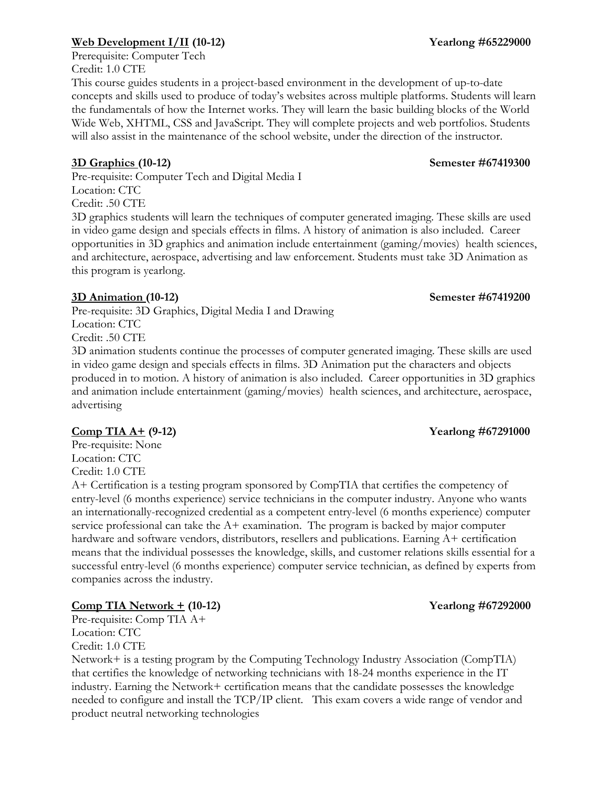### **Web Development I/II** (10-12) **Yearlong #65229000**

Prerequisite: Computer Tech Credit: 1.0 CTE

This course guides students in a project-based environment in the development of up-to-date concepts and skills used to produce of today's websites across multiple platforms. Students will learn the fundamentals of how the Internet works. They will learn the basic building blocks of the World Wide Web, XHTML, CSS and JavaScript. They will complete projects and web portfolios. Students will also assist in the maintenance of the school website, under the direction of the instructor.

Pre-requisite: Computer Tech and Digital Media I Location: CTC Credit: .50 CTE

3D graphics students will learn the techniques of computer generated imaging. These skills are used in video game design and specials effects in films. A history of animation is also included. Career opportunities in 3D graphics and animation include entertainment (gaming/movies) health sciences, and architecture, aerospace, advertising and law enforcement. Students must take 3D Animation as this program is yearlong.

### **3D Animation (10-12) Semester #67419200**

Pre-requisite: 3D Graphics, Digital Media I and Drawing Location: CTC Credit: .50 CTE

3D animation students continue the processes of computer generated imaging. These skills are used in video game design and specials effects in films. 3D Animation put the characters and objects produced in to motion. A history of animation is also included. Career opportunities in 3D graphics and animation include entertainment (gaming/movies) health sciences, and architecture, aerospace, advertising

### **Comp TIA A+ (9-12) Yearlong #67291000**

Pre-requisite: None Location: CTC Credit: 1.0 CTE

A+ Certification is a testing program sponsored by CompTIA that certifies the competency of entry-level (6 months experience) service technicians in the computer industry. Anyone who wants an internationally-recognized credential as a competent entry-level (6 months experience) computer service professional can take the  $A+$  examination. The program is backed by major computer hardware and software vendors, distributors, resellers and publications. Earning A+ certification means that the individual possesses the knowledge, skills, and customer relations skills essential for a successful entry-level (6 months experience) computer service technician, as defined by experts from companies across the industry.

### **Comp TIA Network + (10-12) Yearlong #67292000**

Pre-requisite: Comp TIA A+ Location: CTC Credit: 1.0 CTE

Network+ is a testing program by the Computing Technology Industry Association (CompTIA) that certifies the knowledge of networking technicians with 18-24 months experience in the IT industry. Earning the Network+ certification means that the candidate possesses the knowledge needed to configure and install the TCP/IP client. This exam covers a wide range of vendor and product neutral networking technologies

# **3D Graphics (10-12) Semester #67419300**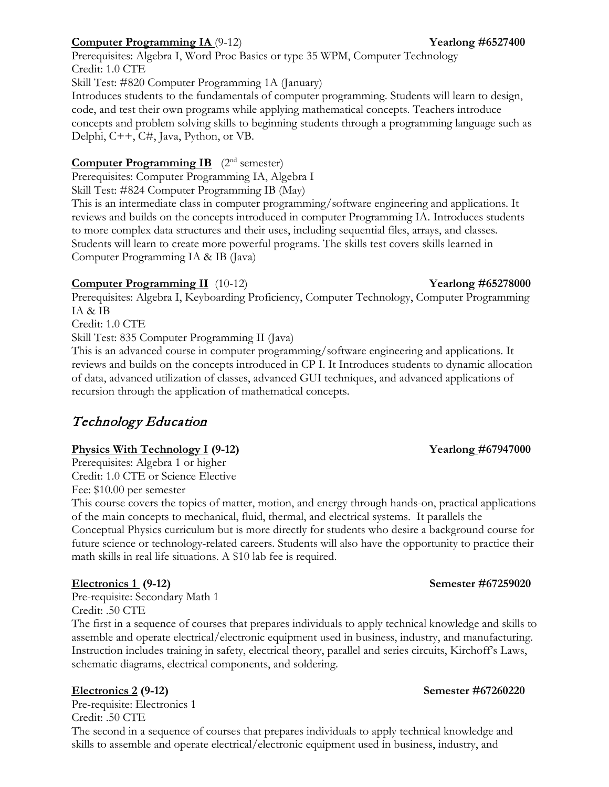### **Computer Programming IA** (9-12) **Yearlong #6527400**

Prerequisites: Algebra I, Word Proc Basics or type 35 WPM, Computer Technology Credit: 1.0 CTE Skill Test: #820 Computer Programming 1A (January) Introduces students to the fundamentals of computer programming. Students will learn to design, code, and test their own programs while applying mathematical concepts. Teachers introduce concepts and problem solving skills to beginning students through a programming language such as Delphi, C++, C#, Java, Python, or VB.

### **Computer Programming IB** (2<sup>nd</sup> semester)

Prerequisites: Computer Programming IA, Algebra I Skill Test: #824 Computer Programming IB (May)

This is an intermediate class in computer programming/software engineering and applications. It reviews and builds on the concepts introduced in computer Programming IA. Introduces students to more complex data structures and their uses, including sequential files, arrays, and classes. Students will learn to create more powerful programs. The skills test covers skills learned in Computer Programming IA & IB (Java)

### **Computer Programming II** (10-12) **Yearlong #65278000**

Prerequisites: Algebra I, Keyboarding Proficiency, Computer Technology, Computer Programming IA & IB

Credit: 1.0 CTE

Skill Test: 835 Computer Programming II (Java)

This is an advanced course in computer programming/software engineering and applications. It reviews and builds on the concepts introduced in CP I. It Introduces students to dynamic allocation of data, advanced utilization of classes, advanced GUI techniques, and advanced applications of recursion through the application of mathematical concepts.

# Technology Education

### **Physics With Technology I (9-12) Yearlong #67947000**

Prerequisites: Algebra 1 or higher Credit: 1.0 CTE or Science Elective Fee: \$10.00 per semester

This course covers the topics of matter, motion, and energy through hands-on, practical applications of the main concepts to mechanical, fluid, thermal, and electrical systems. It parallels the Conceptual Physics curriculum but is more directly for students who desire a background course for future science or technology-related careers. Students will also have the opportunity to practice their math skills in real life situations. A \$10 lab fee is required.

Pre-requisite: Secondary Math 1 Credit: .50 CTE

The first in a sequence of courses that prepares individuals to apply technical knowledge and skills to assemble and operate electrical/electronic equipment used in business, industry, and manufacturing. Instruction includes training in safety, electrical theory, parallel and series circuits, Kirchoff's Laws, schematic diagrams, electrical components, and soldering.

Pre-requisite: Electronics 1 Credit: .50 CTE

The second in a sequence of courses that prepares individuals to apply technical knowledge and skills to assemble and operate electrical/electronic equipment used in business, industry, and

### **Electronics 1 (9-12) Semester #67259020**

### **Electronics 2 (9-12) Semester #67260220**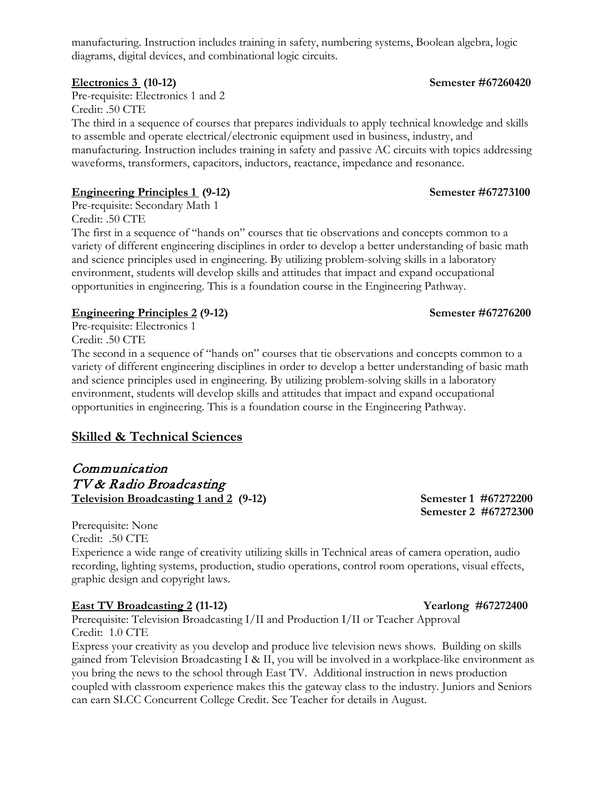manufacturing. Instruction includes training in safety, numbering systems, Boolean algebra, logic diagrams, digital devices, and combinational logic circuits.

Pre-requisite: Electronics 1 and 2 Credit: .50 CTE

The third in a sequence of courses that prepares individuals to apply technical knowledge and skills to assemble and operate electrical/electronic equipment used in business, industry, and manufacturing. Instruction includes training in safety and passive AC circuits with topics addressing waveforms, transformers, capacitors, inductors, reactance, impedance and resonance.

### **Engineering Principles 1 (9-12)** Semester #67273100

Pre-requisite: Secondary Math 1 Credit: .50 CTE

The first in a sequence of "hands on" courses that tie observations and concepts common to a variety of different engineering disciplines in order to develop a better understanding of basic math and science principles used in engineering. By utilizing problem-solving skills in a laboratory environment, students will develop skills and attitudes that impact and expand occupational opportunities in engineering. This is a foundation course in the Engineering Pathway.

### **Engineering Principles 2 (9-12) Semester #67276200**

Pre-requisite: Electronics 1 Credit: .50 CTE

The second in a sequence of "hands on" courses that tie observations and concepts common to a variety of different engineering disciplines in order to develop a better understanding of basic math and science principles used in engineering. By utilizing problem-solving skills in a laboratory environment, students will develop skills and attitudes that impact and expand occupational opportunities in engineering. This is a foundation course in the Engineering Pathway.

### **Skilled & Technical Sciences**

Communication TV & Radio Broadcasting **Television Broadcasting 1 and 2 (9-12) Semester 1 #67272200** 

Prerequisite: None Credit: .50 CTE Experience a wide range of creativity utilizing skills in Technical areas of camera operation, audio recording, lighting systems, production, studio operations, control room operations, visual effects, graphic design and copyright laws.

### **East TV Broadcasting 2 (11-12) Yearlong #67272400**

Prerequisite: Television Broadcasting I/II and Production I/II or Teacher Approval Credit: 1.0 CTE

Express your creativity as you develop and produce live television news shows. Building on skills gained from Television Broadcasting I & II, you will be involved in a workplace-like environment as you bring the news to the school through East TV. Additional instruction in news production coupled with classroom experience makes this the gateway class to the industry. Juniors and Seniors can earn SLCC Concurrent College Credit. See Teacher for details in August.

 **Semester 2 #67272300**

# **Electronics 3 (10-12) Semester #67260420**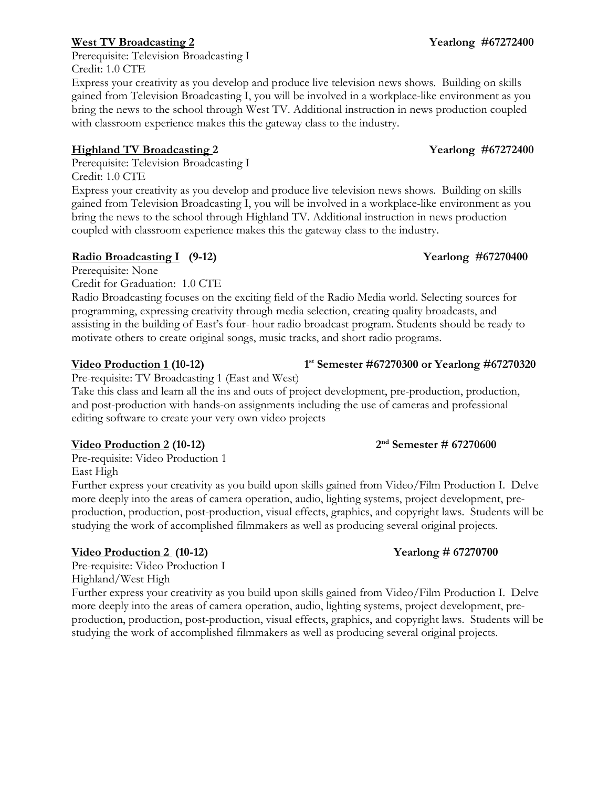### **West TV Broadcasting 2 Yearlong #67272400**

Prerequisite: Television Broadcasting I Credit: 1.0 CTE

Express your creativity as you develop and produce live television news shows. Building on skills gained from Television Broadcasting I, you will be involved in a workplace-like environment as you bring the news to the school through West TV. Additional instruction in news production coupled with classroom experience makes this the gateway class to the industry.

### **Highland TV Broadcasting 2 Yearlong #67272400**

Prerequisite: Television Broadcasting I

Credit: 1.0 CTE

Express your creativity as you develop and produce live television news shows. Building on skills gained from Television Broadcasting I, you will be involved in a workplace-like environment as you bring the news to the school through Highland TV. Additional instruction in news production coupled with classroom experience makes this the gateway class to the industry.

### **Radio Broadcasting I** (9-12) Yearlong #67270400

Prerequisite: None

Credit for Graduation: 1.0 CTE

Radio Broadcasting focuses on the exciting field of the Radio Media world. Selecting sources for programming, expressing creativity through media selection, creating quality broadcasts, and assisting in the building of East's four- hour radio broadcast program. Students should be ready to motivate others to create original songs, music tracks, and short radio programs.

### **Video Production 1 (10-12) 1st Semester #67270300 or Yearlong #67270320**

Pre-requisite: TV Broadcasting 1 (East and West)

Take this class and learn all the ins and outs of project development, pre-production, production, and post-production with hands-on assignments including the use of cameras and professional editing software to create your very own video projects

### **Video Production 2** (10-12) **2<sup>nd</sup> Semester # 67270600**

Pre-requisite: Video Production 1 East High

Further express your creativity as you build upon skills gained from Video/Film Production I. Delve more deeply into the areas of camera operation, audio, lighting systems, project development, preproduction, production, post-production, visual effects, graphics, and copyright laws. Students will be studying the work of accomplished filmmakers as well as producing several original projects.

### **Video Production 2 (10-12) Yearlong # 67270700**

Pre-requisite: Video Production I

Highland/West High

Further express your creativity as you build upon skills gained from Video/Film Production I. Delve more deeply into the areas of camera operation, audio, lighting systems, project development, preproduction, production, post-production, visual effects, graphics, and copyright laws. Students will be studying the work of accomplished filmmakers as well as producing several original projects.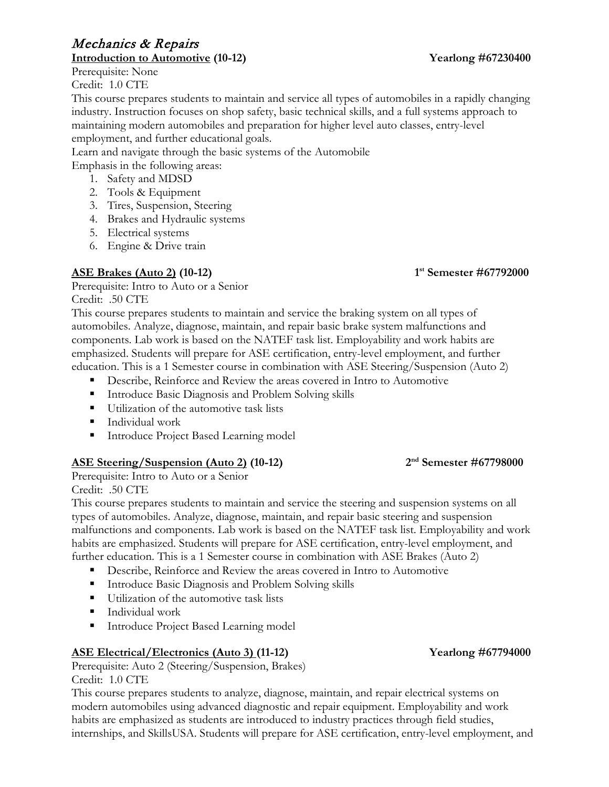# Mechanics & Repairs

Prerequisite: None Credit: 1.0 CTE

This course prepares students to maintain and service all types of automobiles in a rapidly changing industry. Instruction focuses on shop safety, basic technical skills, and a full systems approach to maintaining modern automobiles and preparation for higher level auto classes, entry-level employment, and further educational goals.

Learn and navigate through the basic systems of the Automobile Emphasis in the following areas:

- 1. Safety and MDSD
- 2. Tools & Equipment
- 3. Tires, Suspension, Steering
- 4. Brakes and Hydraulic systems
- 5. Electrical systems
- 6. Engine & Drive train

# **ASE Brakes (Auto 2) (10-12) 1st Semester #67792000**

Prerequisite: Intro to Auto or a Senior Credit: .50 CTE

This course prepares students to maintain and service the braking system on all types of automobiles. Analyze, diagnose, maintain, and repair basic brake system malfunctions and components. Lab work is based on the NATEF task list. Employability and work habits are emphasized. Students will prepare for ASE certification, entry-level employment, and further education. This is a 1 Semester course in combination with ASE Steering/Suspension (Auto 2)

- Describe, Reinforce and Review the areas covered in Intro to Automotive
- Introduce Basic Diagnosis and Problem Solving skills
- Utilization of the automotive task lists
- **Individual work**
- Introduce Project Based Learning model

### **ASE Steering/Suspension (Auto 2) (10-12) 2nd Semester #67798000**

Prerequisite: Intro to Auto or a Senior Credit: .50 CTE

This course prepares students to maintain and service the steering and suspension systems on all types of automobiles. Analyze, diagnose, maintain, and repair basic steering and suspension malfunctions and components. Lab work is based on the NATEF task list. Employability and work habits are emphasized. Students will prepare for ASE certification, entry-level employment, and further education. This is a 1 Semester course in combination with ASE Brakes (Auto 2)

- Describe, Reinforce and Review the areas covered in Intro to Automotive
- **Introduce Basic Diagnosis and Problem Solving skills**
- Utilization of the automotive task lists
- **Individual work**
- **Introduce Project Based Learning model**

### **ASE Electrical/Electronics (Auto 3) (11-12) Yearlong #67794000**

Prerequisite: Auto 2 (Steering/Suspension, Brakes) Credit: 1.0 CTE

This course prepares students to analyze, diagnose, maintain, and repair electrical systems on modern automobiles using advanced diagnostic and repair equipment. Employability and work habits are emphasized as students are introduced to industry practices through field studies, internships, and SkillsUSA. Students will prepare for ASE certification, entry-level employment, and

### **Introduction to Automotive (10-12) Yearlong #67230400**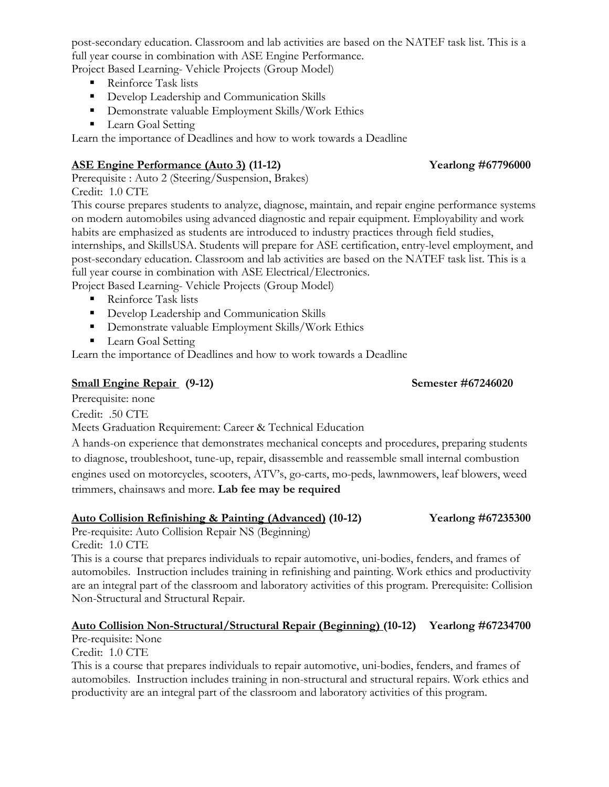post-secondary education. Classroom and lab activities are based on the NATEF task list. This is a full year course in combination with ASE Engine Performance.

Project Based Learning- Vehicle Projects (Group Model)

- Reinforce Task lists
- Develop Leadership and Communication Skills
- **Demonstrate valuable Employment Skills/Work Ethics**
- **Learn Goal Setting**

Learn the importance of Deadlines and how to work towards a Deadline

### **ASE Engine Performance (Auto 3) (11-12) Yearlong #67796000**

Prerequisite : Auto 2 (Steering/Suspension, Brakes) Credit: 1.0 CTE

This course prepares students to analyze, diagnose, maintain, and repair engine performance systems on modern automobiles using advanced diagnostic and repair equipment. Employability and work habits are emphasized as students are introduced to industry practices through field studies, internships, and SkillsUSA. Students will prepare for ASE certification, entry-level employment, and post-secondary education. Classroom and lab activities are based on the NATEF task list. This is a full year course in combination with ASE Electrical/Electronics.

Project Based Learning- Vehicle Projects (Group Model)

- Reinforce Task lists
- Develop Leadership and Communication Skills
- **•** Demonstrate valuable Employment Skills/Work Ethics
- **Learn Goal Setting**

Learn the importance of Deadlines and how to work towards a Deadline

### **Small Engine Repair (9-12) Semester #67246020**

Prerequisite: none

Credit: .50 CTE

Meets Graduation Requirement: Career & Technical Education

A hands-on experience that demonstrates mechanical concepts and procedures, preparing students to diagnose, troubleshoot, tune-up, repair, disassemble and reassemble small internal combustion engines used on motorcycles, scooters, ATV's, go-carts, mo-peds, lawnmowers, leaf blowers, weed trimmers, chainsaws and more. **Lab fee may be required** 

### **Auto Collision Refinishing & Painting (Advanced) (10-12) Yearlong #67235300**

Pre-requisite: Auto Collision Repair NS (Beginning) Credit: 1.0 CTE

This is a course that prepares individuals to repair automotive, uni-bodies, fenders, and frames of automobiles. Instruction includes training in refinishing and painting. Work ethics and productivity are an integral part of the classroom and laboratory activities of this program. Prerequisite: Collision Non-Structural and Structural Repair.

### **Auto Collision Non-Structural/Structural Repair (Beginning) (10-12) Yearlong #67234700**

Pre-requisite: None

Credit: 1.0 CTE

This is a course that prepares individuals to repair automotive, uni-bodies, fenders, and frames of automobiles. Instruction includes training in non-structural and structural repairs. Work ethics and productivity are an integral part of the classroom and laboratory activities of this program.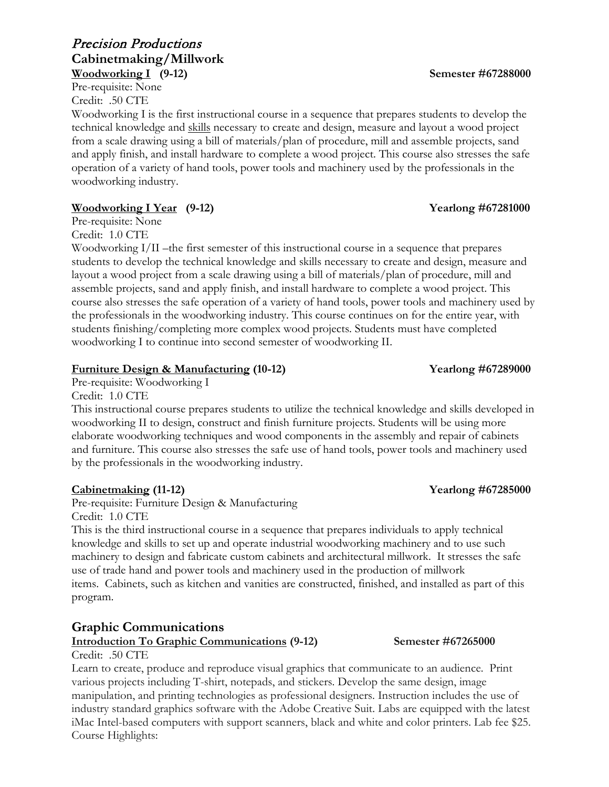### Precision Productions **Cabinetmaking/Millwork Woodworking I (9-12) Semester #67288000**

Pre-requisite: None Credit: .50 CTE

Woodworking I is the first instructional course in a sequence that prepares students to develop the technical knowledge and skills necessary to create and design, measure and layout a wood project from a scale drawing using a bill of materials/plan of procedure, mill and assemble projects, sand and apply finish, and install hardware to complete a wood project. This course also stresses the safe operation of a variety of hand tools, power tools and machinery used by the professionals in the woodworking industry.

### **Woodworking I Year (9-12)** Yearlong #67281000

Pre-requisite: None

Credit: 1.0 CTE

Woodworking I/II –the first semester of this instructional course in a sequence that prepares students to develop the technical knowledge and skills necessary to create and design, measure and layout a wood project from a scale drawing using a bill of materials/plan of procedure, mill and assemble projects, sand and apply finish, and install hardware to complete a wood project. This course also stresses the safe operation of a variety of hand tools, power tools and machinery used by the professionals in the woodworking industry. This course continues on for the entire year, with students finishing/completing more complex wood projects. Students must have completed woodworking I to continue into second semester of woodworking II.

### **Furniture Design & Manufacturing (10-12) Yearlong #67289000**

Pre-requisite: Woodworking I

Credit: 1.0 CTE

This instructional course prepares students to utilize the technical knowledge and skills developed in woodworking II to design, construct and finish furniture projects. Students will be using more elaborate woodworking techniques and wood components in the assembly and repair of cabinets and furniture. This course also stresses the safe use of hand tools, power tools and machinery used by the professionals in the woodworking industry.

### **Cabinetmaking (11-12) Yearlong #67285000**

Pre-requisite: Furniture Design & Manufacturing Credit: 1.0 CTE

This is the third instructional course in a sequence that prepares individuals to apply technical knowledge and skills to set up and operate industrial woodworking machinery and to use such machinery to design and fabricate custom cabinets and architectural millwork. It stresses the safe use of trade hand and power tools and machinery used in the production of millwork items. Cabinets, such as kitchen and vanities are constructed, finished, and installed as part of this program.

# **Graphic Communications**

### **Introduction To Graphic Communications (9-12) Semester #67265000**

Credit: .50 CTE Learn to create, produce and reproduce visual graphics that communicate to an audience. Print various projects including T-shirt, notepads, and stickers. Develop the same design, image manipulation, and printing technologies as professional designers. Instruction includes the use of industry standard graphics software with the Adobe Creative Suit. Labs are equipped with the latest iMac Intel-based computers with support scanners, black and white and color printers. Lab fee \$25. Course Highlights: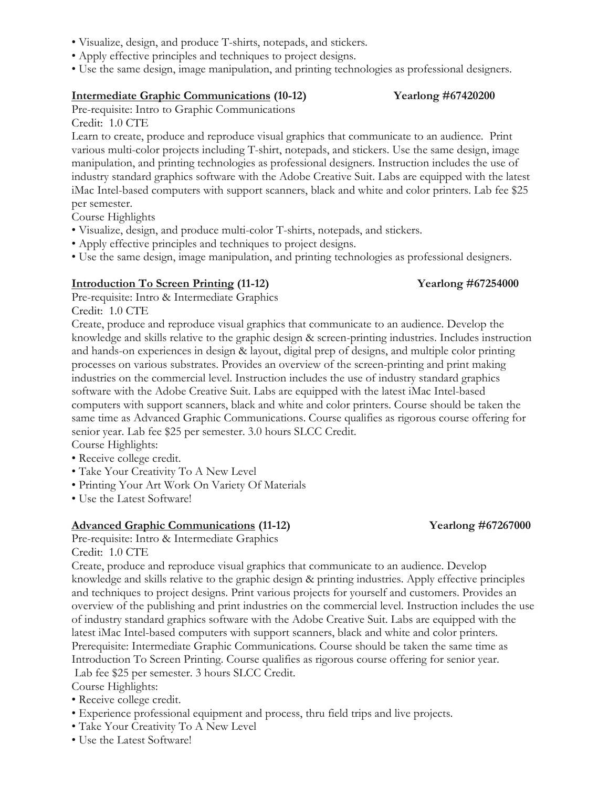- Visualize, design, and produce T-shirts, notepads, and stickers.
- Apply effective principles and techniques to project designs.
- Use the same design, image manipulation, and printing technologies as professional designers.

### **Intermediate Graphic Communications (10-12) Yearlong #67420200**

Pre-requisite: Intro to Graphic Communications

Credit: 1.0 CTE

Learn to create, produce and reproduce visual graphics that communicate to an audience. Print various multi-color projects including T-shirt, notepads, and stickers. Use the same design, image manipulation, and printing technologies as professional designers. Instruction includes the use of industry standard graphics software with the Adobe Creative Suit. Labs are equipped with the latest iMac Intel-based computers with support scanners, black and white and color printers. Lab fee \$25 per semester.

Course Highlights

- Visualize, design, and produce multi-color T-shirts, notepads, and stickers.
- Apply effective principles and techniques to project designs.
- Use the same design, image manipulation, and printing technologies as professional designers.

### **Introduction To Screen Printing (11-12) Yearlong #67254000**

Pre-requisite: Intro & Intermediate Graphics

Credit: 1.0 CTE

Create, produce and reproduce visual graphics that communicate to an audience. Develop the knowledge and skills relative to the graphic design & screen-printing industries. Includes instruction and hands-on experiences in design & layout, digital prep of designs, and multiple color printing processes on various substrates. Provides an overview of the screen-printing and print making industries on the commercial level. Instruction includes the use of industry standard graphics software with the Adobe Creative Suit. Labs are equipped with the latest iMac Intel-based computers with support scanners, black and white and color printers. Course should be taken the same time as Advanced Graphic Communications. Course qualifies as rigorous course offering for senior year. Lab fee \$25 per semester. 3.0 hours SLCC Credit. Course Highlights:

- Receive college credit.
- Take Your Creativity To A New Level
- Printing Your Art Work On Variety Of Materials
- Use the Latest Software!

### **Advanced Graphic Communications (11-12) Yearlong #67267000**

Pre-requisite: Intro & Intermediate Graphics Credit: 1.0 CTE

Create, produce and reproduce visual graphics that communicate to an audience. Develop knowledge and skills relative to the graphic design & printing industries. Apply effective principles and techniques to project designs. Print various projects for yourself and customers. Provides an overview of the publishing and print industries on the commercial level. Instruction includes the use of industry standard graphics software with the Adobe Creative Suit. Labs are equipped with the latest iMac Intel-based computers with support scanners, black and white and color printers. Prerequisite: Intermediate Graphic Communications. Course should be taken the same time as Introduction To Screen Printing. Course qualifies as rigorous course offering for senior year. Lab fee \$25 per semester. 3 hours SLCC Credit.

Course Highlights:

- Receive college credit.
- Experience professional equipment and process, thru field trips and live projects.
- Take Your Creativity To A New Level
- Use the Latest Software!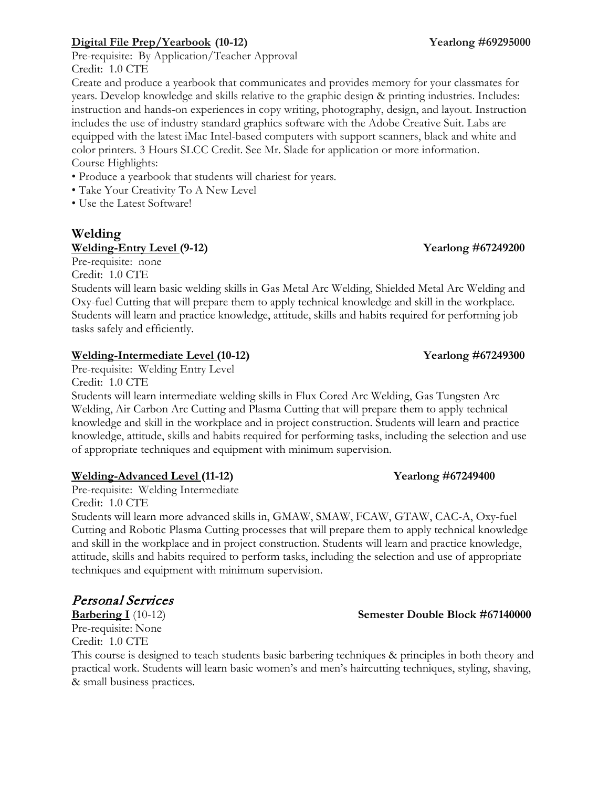### **Digital File Prep/Yearbook (10-12) Yearlong #69295000**

Pre-requisite: By Application/Teacher Approval Credit: 1.0 CTE

Create and produce a yearbook that communicates and provides memory for your classmates for years. Develop knowledge and skills relative to the graphic design & printing industries. Includes: instruction and hands-on experiences in copy writing, photography, design, and layout. Instruction includes the use of industry standard graphics software with the Adobe Creative Suit. Labs are equipped with the latest iMac Intel-based computers with support scanners, black and white and color printers. 3 Hours SLCC Credit. See Mr. Slade for application or more information. Course Highlights:

- Produce a yearbook that students will chariest for years.
- Take Your Creativity To A New Level

• Use the Latest Software!

# **Welding**

### **Welding-Entry Level (9-12) Yearlong #67249200**

Pre-requisite: none

Credit: 1.0 CTE

Students will learn basic welding skills in Gas Metal Arc Welding, Shielded Metal Arc Welding and Oxy-fuel Cutting that will prepare them to apply technical knowledge and skill in the workplace. Students will learn and practice knowledge, attitude, skills and habits required for performing job tasks safely and efficiently.

### **Welding-Intermediate Level (10-12) Yearlong #67249300**

Pre-requisite: Welding Entry Level

Credit: 1.0 CTE

Students will learn intermediate welding skills in Flux Cored Arc Welding, Gas Tungsten Arc Welding, Air Carbon Arc Cutting and Plasma Cutting that will prepare them to apply technical knowledge and skill in the workplace and in project construction. Students will learn and practice knowledge, attitude, skills and habits required for performing tasks, including the selection and use of appropriate techniques and equipment with minimum supervision.

### **Welding-Advanced Level (11-12) Yearlong #67249400**

Pre-requisite: Welding Intermediate Credit: 1.0 CTE

Students will learn more advanced skills in, GMAW, SMAW, FCAW, GTAW, CAC-A, Oxy-fuel Cutting and Robotic Plasma Cutting processes that will prepare them to apply technical knowledge and skill in the workplace and in project construction. Students will learn and practice knowledge, attitude, skills and habits required to perform tasks, including the selection and use of appropriate techniques and equipment with minimum supervision.

# Personal Services

**Barbering I** (10-12) **Semester Double Block #67140000** Pre-requisite: None Credit: 1.0 CTE

This course is designed to teach students basic barbering techniques & principles in both theory and practical work. Students will learn basic women's and men's haircutting techniques, styling, shaving, & small business practices.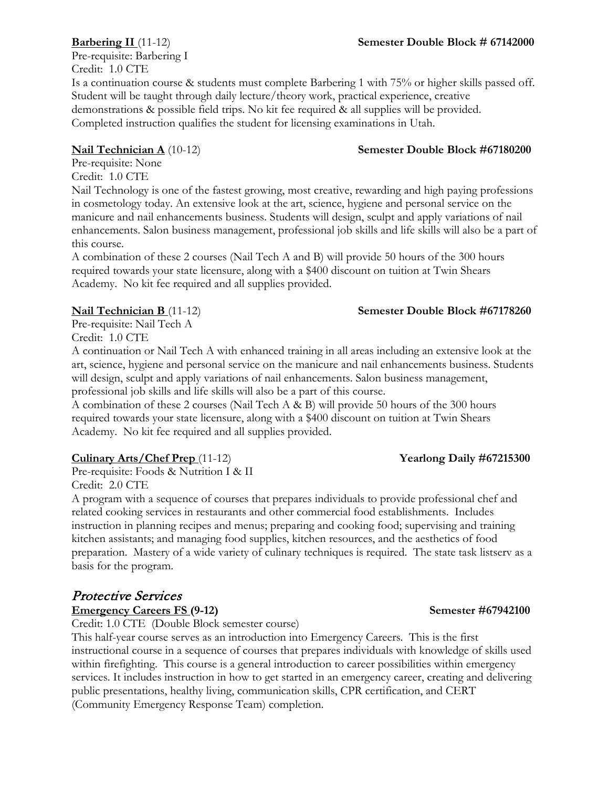Pre-requisite: Barbering I Credit: 1.0 CTE Is a continuation course & students must complete Barbering 1 with 75% or higher skills passed off. Student will be taught through daily lecture/theory work, practical experience, creative demonstrations & possible field trips. No kit fee required & all supplies will be provided. Completed instruction qualifies the student for licensing examinations in Utah.

# **Nail Technician A** (10-12) **Semester Double Block #67180200**

Pre-requisite: None Credit: 1.0 CTE

Nail Technology is one of the fastest growing, most creative, rewarding and high paying professions in cosmetology today. An extensive look at the art, science, hygiene and personal service on the manicure and nail enhancements business. Students will design, sculpt and apply variations of nail enhancements. Salon business management, professional job skills and life skills will also be a part of this course.

A combination of these 2 courses (Nail Tech A and B) will provide 50 hours of the 300 hours required towards your state licensure, along with a \$400 discount on tuition at Twin Shears Academy. No kit fee required and all supplies provided.

Pre-requisite: Nail Tech A Credit: 1.0 CTE

A continuation or Nail Tech A with enhanced training in all areas including an extensive look at the art, science, hygiene and personal service on the manicure and nail enhancements business. Students will design, sculpt and apply variations of nail enhancements. Salon business management, professional job skills and life skills will also be a part of this course.

A combination of these 2 courses (Nail Tech A & B) will provide 50 hours of the 300 hours required towards your state licensure, along with a \$400 discount on tuition at Twin Shears Academy. No kit fee required and all supplies provided.

# **Culinary Arts/Chef Prep** (11-12) **Yearlong Daily #67215300**

Pre-requisite: Foods & Nutrition I & II Credit: 2.0 CTE

A program with a sequence of courses that prepares individuals to provide professional chef and related cooking services in restaurants and other commercial food establishments. Includes instruction in planning recipes and menus; preparing and cooking food; supervising and training kitchen assistants; and managing food supplies, kitchen resources, and the aesthetics of food preparation. Mastery of a wide variety of culinary techniques is required. The state task listserv as a basis for the program.

### Protective Services **Emergency Careers FS (9-12) Semester #67942100**

Credit: 1.0 CTE (Double Block semester course)

This half-year course serves as an introduction into Emergency Careers. This is the first instructional course in a sequence of courses that prepares individuals with knowledge of skills used within firefighting. This course is a general introduction to career possibilities within emergency services. It includes instruction in how to get started in an emergency career, creating and delivering public presentations, healthy living, communication skills, CPR certification, and CERT (Community Emergency Response Team) completion.

# **Nail Technician B** (11-12) **Semester Double Block #67178260**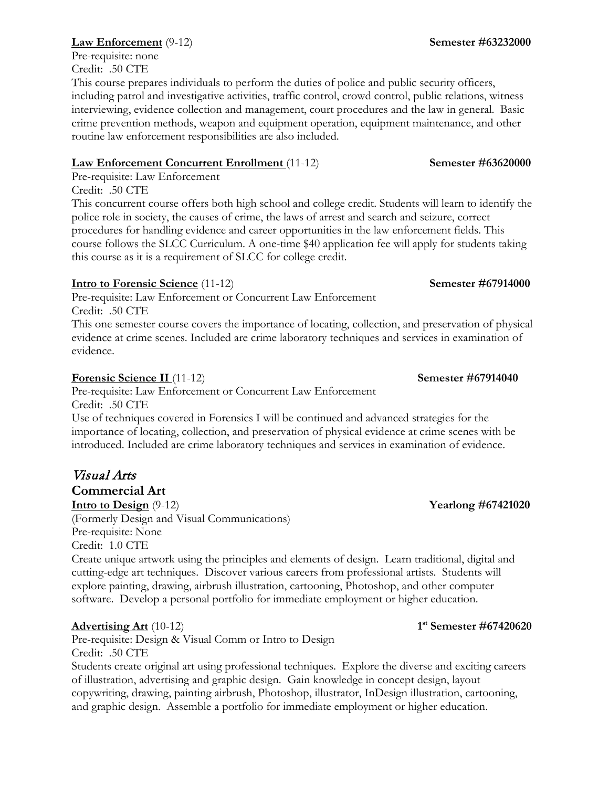# **Law Enforcement** (9-12) **Semester #63232000**

Pre-requisite: none Credit: .50 CTE

This course prepares individuals to perform the duties of police and public security officers, including patrol and investigative activities, traffic control, crowd control, public relations, witness interviewing, evidence collection and management, court procedures and the law in general. Basic crime prevention methods, weapon and equipment operation, equipment maintenance, and other routine law enforcement responsibilities are also included.

# **Law Enforcement Concurrent Enrollment** (11-12) **Semester #63620000**

Pre-requisite: Law Enforcement

Credit: .50 CTE

This concurrent course offers both high school and college credit. Students will learn to identify the police role in society, the causes of crime, the laws of arrest and search and seizure, correct procedures for handling evidence and career opportunities in the law enforcement fields. This course follows the SLCC Curriculum. A one-time \$40 application fee will apply for students taking this course as it is a requirement of SLCC for college credit.

# **Intro to Forensic Science** (11-12) **Semester #67914000**

Pre-requisite: Law Enforcement or Concurrent Law Enforcement Credit: .50 CTE

This one semester course covers the importance of locating, collection, and preservation of physical evidence at crime scenes. Included are crime laboratory techniques and services in examination of evidence.

# **Forensic Science II** (11-12) **Semester #67914040**

Pre-requisite: Law Enforcement or Concurrent Law Enforcement Credit: .50 CTE

Use of techniques covered in Forensics I will be continued and advanced strategies for the importance of locating, collection, and preservation of physical evidence at crime scenes with be introduced. Included are crime laboratory techniques and services in examination of evidence.

# Visual Arts

**Commercial Art**

**Intro to Design** (9-12) **Yearlong #67421020** (Formerly Design and Visual Communications) Pre-requisite: None Credit: 1.0 CTE

Create unique artwork using the principles and elements of design. Learn traditional, digital and cutting-edge art techniques. Discover various careers from professional artists. Students will explore painting, drawing, airbrush illustration, cartooning, Photoshop, and other computer software. Develop a personal portfolio for immediate employment or higher education.

# **Advertising Art** (10-12) **1st Semester #67420620**

Pre-requisite: Design & Visual Comm or Intro to Design Credit: .50 CTE

Students create original art using professional techniques. Explore the diverse and exciting careers of illustration, advertising and graphic design. Gain knowledge in concept design, layout copywriting, drawing, painting airbrush, Photoshop, illustrator, InDesign illustration, cartooning, and graphic design. Assemble a portfolio for immediate employment or higher education.